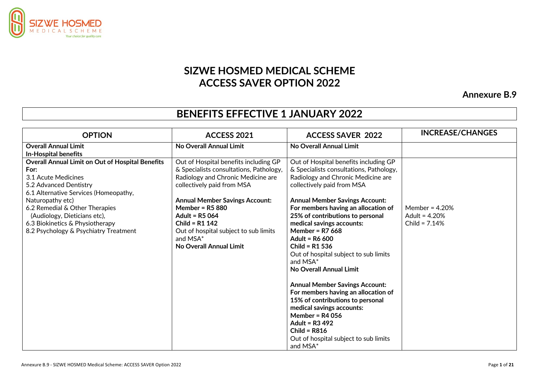

## **SIZWE HOSMED MEDICAL SCHEME ACCESS SAVER OPTION 2022**

**Annexure B.9**

## **BENEFITS EFFECTIVE 1 JANUARY 2022**

| <b>OPTION</b>                                    | <b>ACCESS 2021</b>                      | <b>ACCESS SAVER 2022</b>                | <b>INCREASE/CHANGES</b> |
|--------------------------------------------------|-----------------------------------------|-----------------------------------------|-------------------------|
| <b>Overall Annual Limit</b>                      | No Overall Annual Limit                 | No Overall Annual Limit                 |                         |
| <b>In-Hospital benefits</b>                      |                                         |                                         |                         |
| Overall Annual Limit on Out of Hospital Benefits | Out of Hospital benefits including GP   | Out of Hospital benefits including GP   |                         |
| For:                                             | & Specialists consultations, Pathology, | & Specialists consultations, Pathology, |                         |
| 3.1 Acute Medicines                              | Radiology and Chronic Medicine are      | Radiology and Chronic Medicine are      |                         |
| 5.2 Advanced Dentistry                           | collectively paid from MSA              | collectively paid from MSA              |                         |
| 6.1 Alternative Services (Homeopathy,            |                                         |                                         |                         |
| Naturopathy etc)                                 | <b>Annual Member Savings Account:</b>   | <b>Annual Member Savings Account:</b>   |                         |
| 6.2 Remedial & Other Therapies                   | Member = $R5880$                        | For members having an allocation of     | Member = $4.20%$        |
| (Audiology, Dieticians etc),                     | <b>Adult = R5 064</b>                   | 25% of contributions to personal        | Adult = $4.20%$         |
| 6.3 Biokinetics & Physiotherapy                  | Child = $R1$ 142                        | medical savings accounts:               | Child = $7.14%$         |
| 8.2 Psychology & Psychiatry Treatment            | Out of hospital subject to sub limits   | Member = $R7668$                        |                         |
|                                                  | and MSA*                                | Adult = R6 600                          |                         |
|                                                  | No Overall Annual Limit                 | Child = $R1$ 536                        |                         |
|                                                  |                                         | Out of hospital subject to sub limits   |                         |
|                                                  |                                         | and MSA*                                |                         |
|                                                  |                                         | No Overall Annual Limit                 |                         |
|                                                  |                                         | <b>Annual Member Savings Account:</b>   |                         |
|                                                  |                                         | For members having an allocation of     |                         |
|                                                  |                                         | 15% of contributions to personal        |                         |
|                                                  |                                         | medical savings accounts:               |                         |
|                                                  |                                         | Member = $R4056$                        |                         |
|                                                  |                                         | Adult = R3 492                          |                         |
|                                                  |                                         | Child = $R816$                          |                         |
|                                                  |                                         | Out of hospital subject to sub limits   |                         |
|                                                  |                                         | and MSA*                                |                         |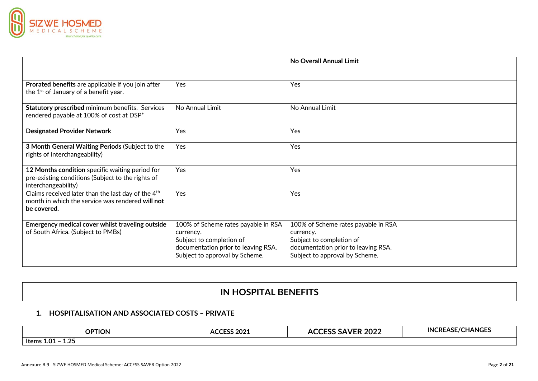

|                                                                                                                                   |                                                                                                                                                       | No Overall Annual Limit                                                                                                                               |  |
|-----------------------------------------------------------------------------------------------------------------------------------|-------------------------------------------------------------------------------------------------------------------------------------------------------|-------------------------------------------------------------------------------------------------------------------------------------------------------|--|
|                                                                                                                                   |                                                                                                                                                       |                                                                                                                                                       |  |
| Prorated benefits are applicable if you join after<br>the 1 <sup>st</sup> of January of a benefit year.                           | Yes                                                                                                                                                   | Yes                                                                                                                                                   |  |
| Statutory prescribed minimum benefits. Services<br>rendered payable at 100% of cost at DSP*                                       | No Annual Limit                                                                                                                                       | No Annual Limit                                                                                                                                       |  |
| <b>Designated Provider Network</b>                                                                                                | Yes                                                                                                                                                   | Yes                                                                                                                                                   |  |
| 3 Month General Waiting Periods (Subject to the<br>rights of interchangeability)                                                  | Yes                                                                                                                                                   | Yes                                                                                                                                                   |  |
| 12 Months condition specific waiting period for<br>pre-existing conditions (Subject to the rights of<br>interchangeability)       | Yes                                                                                                                                                   | Yes                                                                                                                                                   |  |
| Claims received later than the last day of the 4 <sup>th</sup><br>month in which the service was rendered will not<br>be covered. | Yes                                                                                                                                                   | Yes                                                                                                                                                   |  |
| Emergency medical cover whilst traveling outside<br>of South Africa. (Subject to PMBs)                                            | 100% of Scheme rates payable in RSA<br>currency.<br>Subject to completion of<br>documentation prior to leaving RSA.<br>Subject to approval by Scheme. | 100% of Scheme rates payable in RSA<br>currency.<br>Subject to completion of<br>documentation prior to leaving RSA.<br>Subject to approval by Scheme. |  |

## **IN HOSPITAL BENEFITS**

#### **1. HOSPITALISATION AND ASSOCIATED COSTS – PRIVATE**

| <b>OPTION</b>                                   | וכחר אא:<br>$\sim$<br>ACC<br>. LJJ ZUZI | 2022<br>-<br>∼∽<br>--- | E/CHANGES<br>IN <sub>"</sub><br>−RF′<br>זכו |
|-------------------------------------------------|-----------------------------------------|------------------------|---------------------------------------------|
| $\Omega$<br>Items<br>$\mathbf{A}$<br>ΙW.<br>∸∸∸ |                                         |                        |                                             |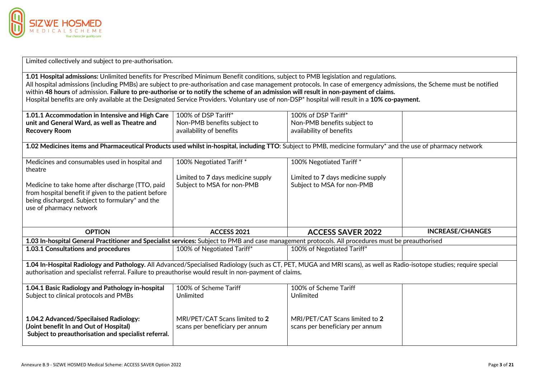

Limited collectively and subject to pre-authorisation.

**1.01 Hospital admissions:** Unlimited benefits for Prescribed Minimum Benefit conditions, subject to PMB legislation and regulations. All hospital admissions (including PMBs) are subject to pre-authorisation and case management protocols. In case of emergency admissions, the Scheme must be notified within **48 hours** of admission. **Failure to pre-authorise or to notify the scheme of an admission will result in non-payment of claims.** Hospital benefits are only available at the Designated Service Providers. Voluntary use of non-DSP\* hospital will result in a **10% co-payment.**

| 1.01.1 Accommodation in Intensive and High Care   100% of DSP Tariff* |                             | 100% of DSP Tariff*                    |  |
|-----------------------------------------------------------------------|-----------------------------|----------------------------------------|--|
| unit and General Ward, as well as Theatre and                         | Non-PMB benefits subject to | Non-PMB benefits subject to            |  |
| <b>Recovery Room</b>                                                  | availability of benefits    | $\mid$ availability of benefits $\mid$ |  |
|                                                                       |                             |                                        |  |

**1.02 Medicines items and Pharmaceutical Products used whilst in-hospital, including TTO**: Subject to PMB, medicine formulary\* and the use of pharmacy network

| Medicines and consumables used in hospital and<br>theatre<br>Medicine to take home after discharge (TTO, paid<br>from hospital benefit if given to the patient before<br>being discharged. Subject to formulary* and the<br>use of pharmacy network                            | 100% Negotiated Tariff*<br>Limited to 7 days medicine supply<br>Subject to MSA for non-PMB | 100% Negotiated Tariff*<br>Limited to 7 days medicine supply<br>Subject to MSA for non-PMB |                         |  |
|--------------------------------------------------------------------------------------------------------------------------------------------------------------------------------------------------------------------------------------------------------------------------------|--------------------------------------------------------------------------------------------|--------------------------------------------------------------------------------------------|-------------------------|--|
|                                                                                                                                                                                                                                                                                |                                                                                            |                                                                                            |                         |  |
| <b>OPTION</b>                                                                                                                                                                                                                                                                  | ACCESS 2021                                                                                | <b>ACCESS SAVER 2022</b>                                                                   | <b>INCREASE/CHANGES</b> |  |
| 1.03 In-hospital General Practitioner and Specialist services: Subject to PMB and case management protocols. All procedures must be preauthorised                                                                                                                              |                                                                                            |                                                                                            |                         |  |
| <b>1.03.1 Consultations and procedures</b>                                                                                                                                                                                                                                     | 100% of Negotiated Tariff*                                                                 | 100% of Negotiated Tariff*                                                                 |                         |  |
|                                                                                                                                                                                                                                                                                |                                                                                            |                                                                                            |                         |  |
| 1.04 In-Hospital Radiology and Pathology. All Advanced/Specialised Radiology (such as CT, PET, MUGA and MRI scans), as well as Radio-isotope studies; require special<br>authorisation and specialist referral. Failure to preauthorise would result in non-payment of claims. |                                                                                            |                                                                                            |                         |  |
| 1.04.1 Basic Radiology and Pathology in-hospital                                                                                                                                                                                                                               | 100% of Scheme Tariff                                                                      | 100% of Scheme Tariff                                                                      |                         |  |
| Subject to clinical protocols and PMBs                                                                                                                                                                                                                                         | Unlimited                                                                                  | Unlimited                                                                                  |                         |  |
| 1.04.2 Advanced/Specilaised Radiology:<br>(Joint benefit In and Out of Hospital)<br>Subject to preauthorisation and specialist referral.                                                                                                                                       | MRI/PET/CAT Scans limited to 2<br>scans per beneficiary per annum                          | MRI/PET/CAT Scans limited to 2<br>scans per beneficiary per annum                          |                         |  |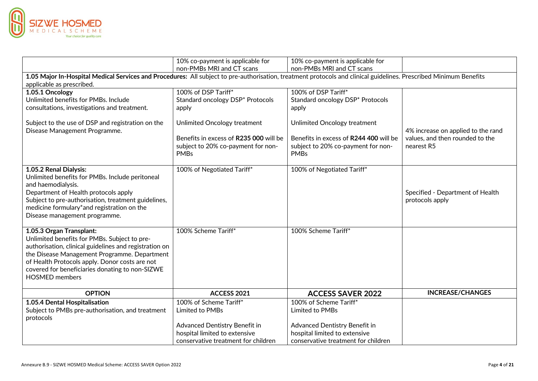

|                                                                                                                                                                    | 10% co-payment is applicable for       | 10% co-payment is applicable for       |                                    |
|--------------------------------------------------------------------------------------------------------------------------------------------------------------------|----------------------------------------|----------------------------------------|------------------------------------|
|                                                                                                                                                                    | non-PMBs MRI and CT scans              | non-PMBs MRI and CT scans              |                                    |
| 1.05 Major In-Hospital Medical Services and Procedures: All subject to pre-authorisation, treatment protocols and clinical guidelines. Prescribed Minimum Benefits |                                        |                                        |                                    |
| applicable as prescribed.                                                                                                                                          |                                        |                                        |                                    |
| 1.05.1 Oncology                                                                                                                                                    | 100% of DSP Tariff*                    | 100% of DSP Tariff*                    |                                    |
| Unlimited benefits for PMBs. Include                                                                                                                               | Standard oncology DSP* Protocols       | Standard oncology DSP* Protocols       |                                    |
| consultations, investigations and treatment.                                                                                                                       | apply                                  | apply                                  |                                    |
| Subject to the use of DSP and registration on the                                                                                                                  | Unlimited Oncology treatment           | Unlimited Oncology treatment           |                                    |
| Disease Management Programme.                                                                                                                                      |                                        |                                        | 4% increase on applied to the rand |
|                                                                                                                                                                    | Benefits in excess of R235 000 will be | Benefits in excess of R244 400 will be | values, and then rounded to the    |
|                                                                                                                                                                    | subject to 20% co-payment for non-     | subject to 20% co-payment for non-     | nearest R5                         |
|                                                                                                                                                                    | <b>PMBs</b>                            | <b>PMBs</b>                            |                                    |
| 1.05.2 Renal Dialysis:                                                                                                                                             | 100% of Negotiated Tariff*             | 100% of Negotiated Tariff*             |                                    |
| Unlimited benefits for PMBs. Include peritoneal                                                                                                                    |                                        |                                        |                                    |
| and haemodialysis.                                                                                                                                                 |                                        |                                        |                                    |
| Department of Health protocols apply                                                                                                                               |                                        |                                        | Specified - Department of Health   |
| Subject to pre-authorisation, treatment guidelines,                                                                                                                |                                        |                                        | protocols apply                    |
| medicine formulary*and registration on the                                                                                                                         |                                        |                                        |                                    |
| Disease management programme.                                                                                                                                      |                                        |                                        |                                    |
| 1.05.3 Organ Transplant:                                                                                                                                           | 100% Scheme Tariff*                    | 100% Scheme Tariff*                    |                                    |
| Unlimited benefits for PMBs. Subject to pre-                                                                                                                       |                                        |                                        |                                    |
| authorisation, clinical guidelines and registration on                                                                                                             |                                        |                                        |                                    |
| the Disease Management Programme. Department                                                                                                                       |                                        |                                        |                                    |
| of Health Protocols apply. Donor costs are not                                                                                                                     |                                        |                                        |                                    |
| covered for beneficiaries donating to non-SIZWE                                                                                                                    |                                        |                                        |                                    |
| <b>HOSMED</b> members                                                                                                                                              |                                        |                                        |                                    |
| <b>OPTION</b>                                                                                                                                                      | ACCESS 2021                            | <b>ACCESS SAVER 2022</b>               | <b>INCREASE/CHANGES</b>            |
| 1.05.4 Dental Hospitalisation                                                                                                                                      | 100% of Scheme Tariff*                 | 100% of Scheme Tariff*                 |                                    |
| Subject to PMBs pre-authorisation, and treatment                                                                                                                   | Limited to PMBs                        | Limited to PMBs                        |                                    |
| protocols                                                                                                                                                          |                                        |                                        |                                    |
|                                                                                                                                                                    | Advanced Dentistry Benefit in          | Advanced Dentistry Benefit in          |                                    |
|                                                                                                                                                                    | hospital limited to extensive          | hospital limited to extensive          |                                    |
|                                                                                                                                                                    | conservative treatment for children    | conservative treatment for children    |                                    |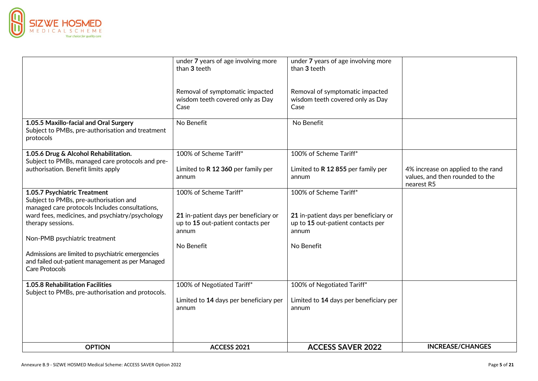

|                                                                                                                                | under 7 years of age involving more<br>than 3 teeth                                 | under 7 years of age involving more<br>than 3 teeth                                 |                                                                                     |
|--------------------------------------------------------------------------------------------------------------------------------|-------------------------------------------------------------------------------------|-------------------------------------------------------------------------------------|-------------------------------------------------------------------------------------|
|                                                                                                                                | Removal of symptomatic impacted<br>wisdom teeth covered only as Day<br>Case         | Removal of symptomatic impacted<br>wisdom teeth covered only as Day<br>Case         |                                                                                     |
| 1.05.5 Maxillo-facial and Oral Surgery<br>Subject to PMBs, pre-authorisation and treatment<br>protocols                        | No Benefit                                                                          | No Benefit                                                                          |                                                                                     |
| 1.05.6 Drug & Alcohol Rehabilitation.<br>Subject to PMBs, managed care protocols and pre-                                      | 100% of Scheme Tariff*                                                              | 100% of Scheme Tariff*                                                              |                                                                                     |
| authorisation. Benefit limits apply                                                                                            | Limited to R 12 360 per family per<br>annum                                         | Limited to R 12 855 per family per<br>annum                                         | 4% increase on applied to the rand<br>values, and then rounded to the<br>nearest R5 |
| 1.05.7 Psychiatric Treatment<br>Subject to PMBs, pre-authorisation and<br>managed care protocols Includes consultations,       | 100% of Scheme Tariff*                                                              | 100% of Scheme Tariff*                                                              |                                                                                     |
| ward fees, medicines, and psychiatry/psychology<br>therapy sessions.                                                           | 21 in-patient days per beneficiary or<br>up to 15 out-patient contacts per<br>annum | 21 in-patient days per beneficiary or<br>up to 15 out-patient contacts per<br>annum |                                                                                     |
| Non-PMB psychiatric treatment                                                                                                  |                                                                                     |                                                                                     |                                                                                     |
| Admissions are limited to psychiatric emergencies<br>and failed out-patient management as per Managed<br><b>Care Protocols</b> | No Benefit                                                                          | No Benefit                                                                          |                                                                                     |
| 1.05.8 Rehabilitation Facilities<br>Subject to PMBs, pre-authorisation and protocols.                                          | 100% of Negotiated Tariff*                                                          | 100% of Negotiated Tariff*                                                          |                                                                                     |
|                                                                                                                                | Limited to 14 days per beneficiary per<br>annum                                     | Limited to 14 days per beneficiary per<br>annum                                     |                                                                                     |
|                                                                                                                                |                                                                                     |                                                                                     |                                                                                     |
| <b>OPTION</b>                                                                                                                  | <b>ACCESS 2021</b>                                                                  | <b>ACCESS SAVER 2022</b>                                                            | <b>INCREASE/CHANGES</b>                                                             |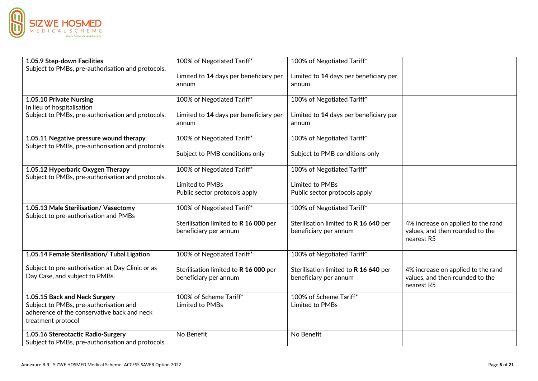

| 1.05.9 Step-down Facilities                                                                  | 100% of Negotiated Tariff*                                     | 100% of Negotiated Tariff*                                     |                                                                                     |
|----------------------------------------------------------------------------------------------|----------------------------------------------------------------|----------------------------------------------------------------|-------------------------------------------------------------------------------------|
| Subject to PMBs, pre-authorisation and protocols.                                            | Limited to 14 days per beneficiary per<br>annum                | Limited to 14 days per beneficiary per<br>annum                |                                                                                     |
|                                                                                              |                                                                |                                                                |                                                                                     |
| 1.05.10 Private Nursing                                                                      | 100% of Negotiated Tariff*                                     | 100% of Negotiated Tariff*                                     |                                                                                     |
| In lieu of hospitalisation<br>Subject to PMBs, pre-authorisation and protocols.              | Limited to 14 days per beneficiary per                         | Limited to 14 days per beneficiary per                         |                                                                                     |
|                                                                                              | annum                                                          | annum                                                          |                                                                                     |
| 1.05.11 Negative pressure wound therapy<br>Subject to PMBs, pre-authorisation and protocols. | 100% of Negotiated Tariff*                                     | 100% of Negotiated Tariff*                                     |                                                                                     |
|                                                                                              | Subject to PMB conditions only                                 | Subject to PMB conditions only                                 |                                                                                     |
| 1.05.12 Hyperbaric Oxygen Therapy<br>Subject to PMBs, pre-authorisation and protocols.       | 100% of Negotiated Tariff*                                     | 100% of Negotiated Tariff*                                     |                                                                                     |
|                                                                                              | Limited to PMBs                                                | Limited to PMBs                                                |                                                                                     |
|                                                                                              | Public sector protocols apply                                  | Public sector protocols apply                                  |                                                                                     |
| 1.05.13 Male Sterilisation/ Vasectomy<br>Subject to pre-authorisation and PMBs               | 100% of Negotiated Tariff*                                     | 100% of Negotiated Tariff*                                     |                                                                                     |
|                                                                                              | Sterilisation limited to R 16 000 per<br>beneficiary per annum | Sterilisation limited to R 16 640 per<br>beneficiary per annum | 4% increase on applied to the rand<br>values, and then rounded to the<br>nearest R5 |
| 1.05.14 Female Sterilisation/ Tubal Ligation                                                 | 100% of Negotiated Tariff*                                     | 100% of Negotiated Tariff*                                     |                                                                                     |
| Subject to pre-authorisation at Day Clinic or as<br>Day Case, and subject to PMBs.           | Sterilisation limited to R 16 000 per<br>beneficiary per annum | Sterilisation limited to R 16 640 per<br>beneficiary per annum | 4% increase on applied to the rand<br>values, and then rounded to the<br>nearest R5 |
| 1.05.15 Back and Neck Surgery                                                                | 100% of Scheme Tariff*                                         | 100% of Scheme Tariff*                                         |                                                                                     |
| Subject to PMBs, pre-authorisation and<br>adherence of the conservative back and neck        | Limited to PMBs                                                | Limited to PMBs                                                |                                                                                     |
| treatment protocol                                                                           |                                                                |                                                                |                                                                                     |
| 1.05.16 Stereotactic Radio-Surgery                                                           | No Benefit                                                     | No Benefit                                                     |                                                                                     |
| Subject to PMBs, pre-authorisation and protocols.                                            |                                                                |                                                                |                                                                                     |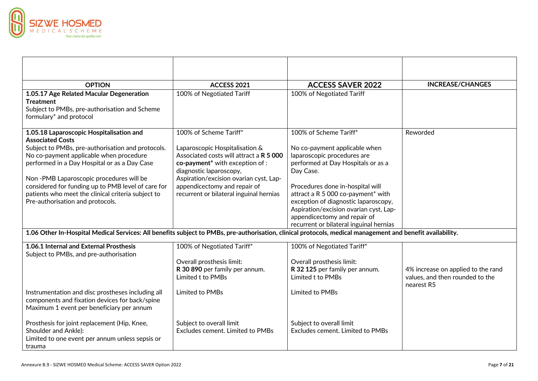

| <b>OPTION</b>                                                                                                                                              | <b>ACCESS 2021</b>                          | <b>ACCESS SAVER 2022</b>                                                | <b>INCREASE/CHANGES</b>                       |
|------------------------------------------------------------------------------------------------------------------------------------------------------------|---------------------------------------------|-------------------------------------------------------------------------|-----------------------------------------------|
| 1.05.17 Age Related Macular Degeneration                                                                                                                   | 100% of Negotiated Tariff                   | 100% of Negotiated Tariff                                               |                                               |
| <b>Treatment</b>                                                                                                                                           |                                             |                                                                         |                                               |
| Subject to PMBs, pre-authorisation and Scheme                                                                                                              |                                             |                                                                         |                                               |
| formulary* and protocol                                                                                                                                    |                                             |                                                                         |                                               |
| 1.05.18 Laparoscopic Hospitalisation and                                                                                                                   | 100% of Scheme Tariff*                      | 100% of Scheme Tariff*                                                  | Reworded                                      |
| <b>Associated Costs</b>                                                                                                                                    |                                             |                                                                         |                                               |
| Subject to PMBs, pre-authorisation and protocols.                                                                                                          | Laparoscopic Hospitalisation &              | No co-payment applicable when                                           |                                               |
| No co-payment applicable when procedure                                                                                                                    | Associated costs will attract a R 5 000     | laparoscopic procedures are                                             |                                               |
| performed in a Day Hospital or as a Day Case                                                                                                               | co-payment <sup>*</sup> with exception of : | performed at Day Hospitals or as a                                      |                                               |
|                                                                                                                                                            | diagnostic laparoscopy,                     | Day Case.                                                               |                                               |
| Non-PMB Laparoscopic procedures will be                                                                                                                    | Aspiration/excision ovarian cyst, Lap-      |                                                                         |                                               |
| considered for funding up to PMB level of care for                                                                                                         | appendicectomy and repair of                | Procedures done in-hospital will                                        |                                               |
| patients who meet the clinical criteria subject to                                                                                                         | recurrent or bilateral inguinal hernias     | attract a R 5 000 co-payment* with                                      |                                               |
| Pre-authorisation and protocols.                                                                                                                           |                                             | exception of diagnostic laparoscopy,                                    |                                               |
|                                                                                                                                                            |                                             | Aspiration/excision ovarian cyst, Lap-                                  |                                               |
|                                                                                                                                                            |                                             | appendicectomy and repair of<br>recurrent or bilateral inguinal hernias |                                               |
| 1.06 Other In-Hospital Medical Services: All benefits subject to PMBs, pre-authorisation, clinical protocols, medical management and benefit availability. |                                             |                                                                         |                                               |
|                                                                                                                                                            |                                             |                                                                         |                                               |
| 1.06.1 Internal and External Prosthesis                                                                                                                    | 100% of Negotiated Tariff*                  | 100% of Negotiated Tariff*                                              |                                               |
| Subject to PMBs, and pre-authorisation                                                                                                                     |                                             |                                                                         |                                               |
|                                                                                                                                                            | Overall prosthesis limit:                   | Overall prosthesis limit:                                               |                                               |
|                                                                                                                                                            | R 30 890 per family per annum.              | R 32 125 per family per annum.                                          | 4% increase on applied to the rand            |
|                                                                                                                                                            | Limited t to PMBs                           | Limited t to PMBs                                                       | values, and then rounded to the<br>nearest R5 |
| Instrumentation and disc prostheses including all                                                                                                          | Limited to PMBs                             | Limited to PMBs                                                         |                                               |
| components and fixation devices for back/spine                                                                                                             |                                             |                                                                         |                                               |
| Maximum 1 event per beneficiary per annum                                                                                                                  |                                             |                                                                         |                                               |
|                                                                                                                                                            |                                             |                                                                         |                                               |
| Prosthesis for joint replacement (Hip, Knee,                                                                                                               | Subject to overall limit                    | Subject to overall limit                                                |                                               |
| Shoulder and Ankle):                                                                                                                                       | Excludes cement. Limited to PMBs            | Excludes cement. Limited to PMBs                                        |                                               |
| Limited to one event per annum unless sepsis or                                                                                                            |                                             |                                                                         |                                               |
| trauma                                                                                                                                                     |                                             |                                                                         |                                               |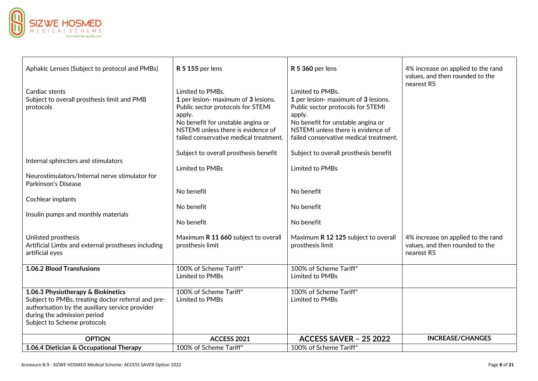

| Aphakic Lenses (Subject to protocol and PMBs)                                                                                                                                                             | <b>R 5 155 per lens</b>                                                                                                                                                                                                     | <b>R 5 360 per lens</b>                                                                                                                                                                                                     | 4% increase on applied to the rand<br>values, and then rounded to the               |
|-----------------------------------------------------------------------------------------------------------------------------------------------------------------------------------------------------------|-----------------------------------------------------------------------------------------------------------------------------------------------------------------------------------------------------------------------------|-----------------------------------------------------------------------------------------------------------------------------------------------------------------------------------------------------------------------------|-------------------------------------------------------------------------------------|
| Cardiac stents<br>Subject to overall prosthesis limit and PMB<br>protocols                                                                                                                                | Limited to PMBs.<br>1 per lesion- maximum of 3 lesions.<br>Public sector protocols for STEMI<br>apply.<br>No benefit for unstable angina or<br>NSTEMI unless there is evidence of<br>failed conservative medical treatment. | Limited to PMBs.<br>1 per lesion- maximum of 3 lesions.<br>Public sector protocols for STEMI<br>apply.<br>No benefit for unstable angina or<br>NSTEMI unless there is evidence of<br>failed conservative medical treatment. | nearest R5                                                                          |
| Internal sphincters and stimulators<br>Neurostimulators/Internal nerve stimulator for                                                                                                                     | Subject to overall prosthesis benefit<br><b>Limited to PMBs</b>                                                                                                                                                             | Subject to overall prosthesis benefit<br>Limited to PMBs                                                                                                                                                                    |                                                                                     |
| Parkinson's Disease<br>Cochlear implants                                                                                                                                                                  | No benefit<br>No benefit                                                                                                                                                                                                    | No benefit<br>No benefit                                                                                                                                                                                                    |                                                                                     |
| Insulin pumps and monthly materials                                                                                                                                                                       | No benefit                                                                                                                                                                                                                  | No benefit                                                                                                                                                                                                                  |                                                                                     |
| Unlisted prosthesis<br>Artificial Limbs and external prostheses including<br>artificial eyes                                                                                                              | Maximum R 11 660 subject to overall<br>prosthesis limit                                                                                                                                                                     | Maximum R 12 125 subject to overall<br>prosthesis limit                                                                                                                                                                     | 4% increase on applied to the rand<br>values, and then rounded to the<br>nearest R5 |
| <b>1.06.2 Blood Transfusions</b>                                                                                                                                                                          | 100% of Scheme Tariff*<br>Limited to PMBs                                                                                                                                                                                   | 100% of Scheme Tariff*<br>Limited to PMBs                                                                                                                                                                                   |                                                                                     |
| 1.06.3 Physiotherapy & Biokinetics<br>Subject to PMBs, treating doctor referral and pre-<br>authorisation by the auxiliary service provider<br>during the admission period<br>Subject to Scheme protocols | 100% of Scheme Tariff*<br>Limited to PMBs                                                                                                                                                                                   | 100% of Scheme Tariff*<br>Limited to PMBs                                                                                                                                                                                   |                                                                                     |
| <b>OPTION</b>                                                                                                                                                                                             | ACCESS 2021                                                                                                                                                                                                                 | <b>ACCESS SAVER - 25 2022</b>                                                                                                                                                                                               | <b>INCREASE/CHANGES</b>                                                             |
| 1.06.4 Dietician & Occupational Therapy                                                                                                                                                                   | 100% of Scheme Tariff*                                                                                                                                                                                                      | 100% of Scheme Tariff*                                                                                                                                                                                                      |                                                                                     |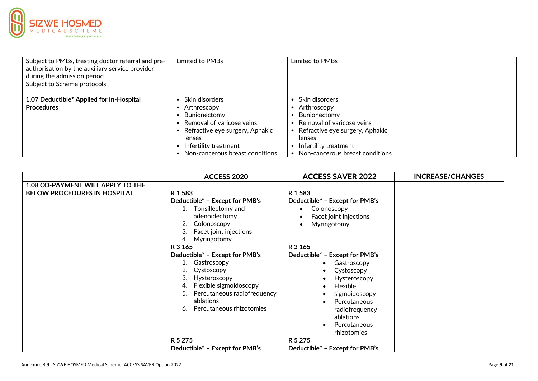

| Subject to PMBs, treating doctor referral and pre-<br>authorisation by the auxiliary service provider<br>during the admission period<br>Subject to Scheme protocols | Limited to PMBs                 | Limited to PMBs                 |  |
|---------------------------------------------------------------------------------------------------------------------------------------------------------------------|---------------------------------|---------------------------------|--|
|                                                                                                                                                                     |                                 |                                 |  |
| 1.07 Deductible* Applied for In-Hospital                                                                                                                            | Skin disorders                  | Skin disorders                  |  |
| <b>Procedures</b>                                                                                                                                                   | Arthroscopy                     | Arthroscopy                     |  |
|                                                                                                                                                                     | Bunionectomy                    | Bunionectomy                    |  |
|                                                                                                                                                                     | Removal of varicose veins       | Removal of varicose veins       |  |
|                                                                                                                                                                     | Refractive eye surgery, Aphakic | Refractive eye surgery, Aphakic |  |
|                                                                                                                                                                     | lenses                          | lenses                          |  |
|                                                                                                                                                                     | Infertility treatment           | Infertility treatment           |  |
|                                                                                                                                                                     | Non-cancerous breast conditions | Non-cancerous breast conditions |  |

|                                     | <b>ACCESS 2020</b>                | <b>ACCESS SAVER 2022</b>       | <b>INCREASE/CHANGES</b> |
|-------------------------------------|-----------------------------------|--------------------------------|-------------------------|
| 1.08 CO-PAYMENT WILL APPLY TO THE   |                                   |                                |                         |
| <b>BELOW PROCEDURES IN HOSPITAL</b> | R 1 5 8 3                         | R1583                          |                         |
|                                     | Deductible* - Except for PMB's    | Deductible* - Except for PMB's |                         |
|                                     | Tonsillectomy and<br>$1_{\cdot}$  | Colonoscopy                    |                         |
|                                     | adenoidectomy                     | Facet joint injections         |                         |
|                                     | Colonoscopy<br>2.                 | Myringotomy                    |                         |
|                                     | Facet joint injections<br>3.      |                                |                         |
|                                     | Myringotomy<br>4.                 |                                |                         |
|                                     | R 3 165                           | R 3 165                        |                         |
|                                     | Deductible* - Except for PMB's    | Deductible* - Except for PMB's |                         |
|                                     | Gastroscopy                       | Gastroscopy                    |                         |
|                                     | Cystoscopy<br>2.                  | Cystoscopy                     |                         |
|                                     | Hysteroscopy<br>3.                | Hysteroscopy                   |                         |
|                                     | Flexible sigmoidoscopy<br>4.      | Flexible                       |                         |
|                                     | Percutaneous radiofrequency<br>5. | sigmoidoscopy                  |                         |
|                                     | ablations                         | Percutaneous                   |                         |
|                                     | Percutaneous rhizotomies<br>6.    | radiofrequency                 |                         |
|                                     |                                   | ablations                      |                         |
|                                     |                                   | Percutaneous                   |                         |
|                                     |                                   | rhizotomies                    |                         |
|                                     | R 5 275                           | R 5 275                        |                         |
|                                     | Deductible* - Except for PMB's    | Deductible* - Except for PMB's |                         |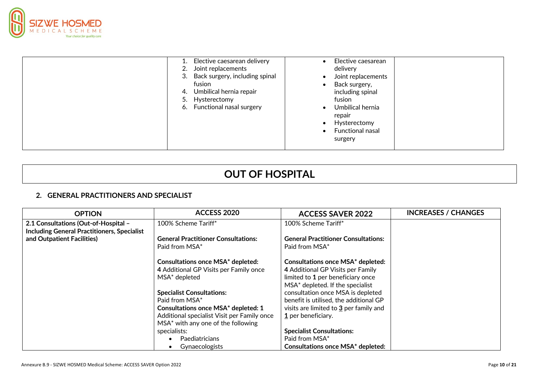

| Elective caesarean delivery<br>Joint replacements<br>2.<br>Back surgery, including spinal<br>3.<br>fusion<br>Umbilical hernia repair<br>4.<br>Hysterectomy<br>5.<br>Functional nasal surgery<br>6. | Elective caesarean<br>delivery<br>Joint replacements<br>Back surgery,<br>including spinal<br>fusion<br>Umbilical hernia<br>repair<br>Hysterectomy<br>Functional nasal<br>surgery |
|----------------------------------------------------------------------------------------------------------------------------------------------------------------------------------------------------|----------------------------------------------------------------------------------------------------------------------------------------------------------------------------------|
|----------------------------------------------------------------------------------------------------------------------------------------------------------------------------------------------------|----------------------------------------------------------------------------------------------------------------------------------------------------------------------------------|

# **OUT OF HOSPITAL**

#### **2. GENERAL PRACTITIONERS AND SPECIALIST**

| <b>OPTION</b>                                                                              | <b>ACCESS 2020</b>                                                                                  | <b>ACCESS SAVER 2022</b>                                                                                                                               | <b>INCREASES / CHANGES</b> |
|--------------------------------------------------------------------------------------------|-----------------------------------------------------------------------------------------------------|--------------------------------------------------------------------------------------------------------------------------------------------------------|----------------------------|
| 2.1 Consultations (Out-of-Hospital -<br><b>Including General Practitioners, Specialist</b> | 100% Scheme Tariff*                                                                                 | 100% Scheme Tariff*                                                                                                                                    |                            |
| and Outpatient Facilities)                                                                 | <b>General Practitioner Consultations:</b>                                                          | <b>General Practitioner Consultations:</b>                                                                                                             |                            |
|                                                                                            | Paid from MSA*                                                                                      | Paid from MSA*                                                                                                                                         |                            |
|                                                                                            | <b>Consultations once MSA* depleted:</b><br>4 Additional GP Visits per Family once<br>MSA* depleted | <b>Consultations once MSA* depleted:</b><br>4 Additional GP Visits per Family<br>limited to 1 per beneficiary once<br>MSA* depleted. If the specialist |                            |
|                                                                                            | <b>Specialist Consultations:</b>                                                                    | consultation once MSA is depleted                                                                                                                      |                            |
|                                                                                            | Paid from MSA*                                                                                      | benefit is utilised, the additional GP                                                                                                                 |                            |
|                                                                                            | <b>Consultations once MSA* depleted: 1</b>                                                          | visits are limited to 3 per family and                                                                                                                 |                            |
|                                                                                            | Additional specialist Visit per Family once                                                         | 1 per beneficiary.                                                                                                                                     |                            |
|                                                                                            | MSA* with any one of the following                                                                  |                                                                                                                                                        |                            |
|                                                                                            | specialists:                                                                                        | <b>Specialist Consultations:</b>                                                                                                                       |                            |
|                                                                                            | Paediatricians                                                                                      | Paid from MSA*                                                                                                                                         |                            |
|                                                                                            | Gynaecologists                                                                                      | <b>Consultations once MSA* depleted:</b>                                                                                                               |                            |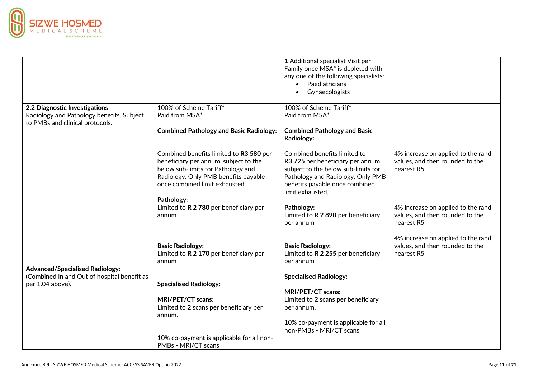

|                                                                                                                                              |                                                                                                                                                                                                                                                                                                                                                                                                                                                                                                                                                         | 1 Additional specialist Visit per                                                                                                                                                                                                                                                                                                                                                                                                                                                     |                                                                                                                                                                                                                             |
|----------------------------------------------------------------------------------------------------------------------------------------------|---------------------------------------------------------------------------------------------------------------------------------------------------------------------------------------------------------------------------------------------------------------------------------------------------------------------------------------------------------------------------------------------------------------------------------------------------------------------------------------------------------------------------------------------------------|---------------------------------------------------------------------------------------------------------------------------------------------------------------------------------------------------------------------------------------------------------------------------------------------------------------------------------------------------------------------------------------------------------------------------------------------------------------------------------------|-----------------------------------------------------------------------------------------------------------------------------------------------------------------------------------------------------------------------------|
|                                                                                                                                              |                                                                                                                                                                                                                                                                                                                                                                                                                                                                                                                                                         | Family once MSA* is depleted with                                                                                                                                                                                                                                                                                                                                                                                                                                                     |                                                                                                                                                                                                                             |
|                                                                                                                                              |                                                                                                                                                                                                                                                                                                                                                                                                                                                                                                                                                         | any one of the following specialists:                                                                                                                                                                                                                                                                                                                                                                                                                                                 |                                                                                                                                                                                                                             |
|                                                                                                                                              |                                                                                                                                                                                                                                                                                                                                                                                                                                                                                                                                                         | Paediatricians<br>$\bullet$                                                                                                                                                                                                                                                                                                                                                                                                                                                           |                                                                                                                                                                                                                             |
|                                                                                                                                              |                                                                                                                                                                                                                                                                                                                                                                                                                                                                                                                                                         | Gynaecologists                                                                                                                                                                                                                                                                                                                                                                                                                                                                        |                                                                                                                                                                                                                             |
|                                                                                                                                              |                                                                                                                                                                                                                                                                                                                                                                                                                                                                                                                                                         |                                                                                                                                                                                                                                                                                                                                                                                                                                                                                       |                                                                                                                                                                                                                             |
| 2.2 Diagnostic Investigations                                                                                                                | 100% of Scheme Tariff*                                                                                                                                                                                                                                                                                                                                                                                                                                                                                                                                  | 100% of Scheme Tariff*                                                                                                                                                                                                                                                                                                                                                                                                                                                                |                                                                                                                                                                                                                             |
| Radiology and Pathology benefits. Subject                                                                                                    | Paid from MSA*                                                                                                                                                                                                                                                                                                                                                                                                                                                                                                                                          | Paid from MSA*                                                                                                                                                                                                                                                                                                                                                                                                                                                                        |                                                                                                                                                                                                                             |
|                                                                                                                                              |                                                                                                                                                                                                                                                                                                                                                                                                                                                                                                                                                         |                                                                                                                                                                                                                                                                                                                                                                                                                                                                                       |                                                                                                                                                                                                                             |
|                                                                                                                                              |                                                                                                                                                                                                                                                                                                                                                                                                                                                                                                                                                         |                                                                                                                                                                                                                                                                                                                                                                                                                                                                                       |                                                                                                                                                                                                                             |
|                                                                                                                                              |                                                                                                                                                                                                                                                                                                                                                                                                                                                                                                                                                         |                                                                                                                                                                                                                                                                                                                                                                                                                                                                                       |                                                                                                                                                                                                                             |
|                                                                                                                                              |                                                                                                                                                                                                                                                                                                                                                                                                                                                                                                                                                         |                                                                                                                                                                                                                                                                                                                                                                                                                                                                                       |                                                                                                                                                                                                                             |
|                                                                                                                                              |                                                                                                                                                                                                                                                                                                                                                                                                                                                                                                                                                         |                                                                                                                                                                                                                                                                                                                                                                                                                                                                                       |                                                                                                                                                                                                                             |
|                                                                                                                                              |                                                                                                                                                                                                                                                                                                                                                                                                                                                                                                                                                         |                                                                                                                                                                                                                                                                                                                                                                                                                                                                                       |                                                                                                                                                                                                                             |
|                                                                                                                                              |                                                                                                                                                                                                                                                                                                                                                                                                                                                                                                                                                         |                                                                                                                                                                                                                                                                                                                                                                                                                                                                                       |                                                                                                                                                                                                                             |
|                                                                                                                                              |                                                                                                                                                                                                                                                                                                                                                                                                                                                                                                                                                         |                                                                                                                                                                                                                                                                                                                                                                                                                                                                                       |                                                                                                                                                                                                                             |
|                                                                                                                                              |                                                                                                                                                                                                                                                                                                                                                                                                                                                                                                                                                         |                                                                                                                                                                                                                                                                                                                                                                                                                                                                                       |                                                                                                                                                                                                                             |
|                                                                                                                                              |                                                                                                                                                                                                                                                                                                                                                                                                                                                                                                                                                         |                                                                                                                                                                                                                                                                                                                                                                                                                                                                                       |                                                                                                                                                                                                                             |
|                                                                                                                                              |                                                                                                                                                                                                                                                                                                                                                                                                                                                                                                                                                         |                                                                                                                                                                                                                                                                                                                                                                                                                                                                                       |                                                                                                                                                                                                                             |
|                                                                                                                                              | Pathology:                                                                                                                                                                                                                                                                                                                                                                                                                                                                                                                                              |                                                                                                                                                                                                                                                                                                                                                                                                                                                                                       |                                                                                                                                                                                                                             |
|                                                                                                                                              |                                                                                                                                                                                                                                                                                                                                                                                                                                                                                                                                                         | Pathology:                                                                                                                                                                                                                                                                                                                                                                                                                                                                            | 4% increase on applied to the rand                                                                                                                                                                                          |
|                                                                                                                                              |                                                                                                                                                                                                                                                                                                                                                                                                                                                                                                                                                         |                                                                                                                                                                                                                                                                                                                                                                                                                                                                                       |                                                                                                                                                                                                                             |
|                                                                                                                                              |                                                                                                                                                                                                                                                                                                                                                                                                                                                                                                                                                         |                                                                                                                                                                                                                                                                                                                                                                                                                                                                                       |                                                                                                                                                                                                                             |
|                                                                                                                                              |                                                                                                                                                                                                                                                                                                                                                                                                                                                                                                                                                         |                                                                                                                                                                                                                                                                                                                                                                                                                                                                                       |                                                                                                                                                                                                                             |
|                                                                                                                                              |                                                                                                                                                                                                                                                                                                                                                                                                                                                                                                                                                         |                                                                                                                                                                                                                                                                                                                                                                                                                                                                                       |                                                                                                                                                                                                                             |
|                                                                                                                                              |                                                                                                                                                                                                                                                                                                                                                                                                                                                                                                                                                         |                                                                                                                                                                                                                                                                                                                                                                                                                                                                                       |                                                                                                                                                                                                                             |
|                                                                                                                                              |                                                                                                                                                                                                                                                                                                                                                                                                                                                                                                                                                         |                                                                                                                                                                                                                                                                                                                                                                                                                                                                                       |                                                                                                                                                                                                                             |
|                                                                                                                                              |                                                                                                                                                                                                                                                                                                                                                                                                                                                                                                                                                         |                                                                                                                                                                                                                                                                                                                                                                                                                                                                                       |                                                                                                                                                                                                                             |
|                                                                                                                                              |                                                                                                                                                                                                                                                                                                                                                                                                                                                                                                                                                         |                                                                                                                                                                                                                                                                                                                                                                                                                                                                                       |                                                                                                                                                                                                                             |
|                                                                                                                                              |                                                                                                                                                                                                                                                                                                                                                                                                                                                                                                                                                         |                                                                                                                                                                                                                                                                                                                                                                                                                                                                                       |                                                                                                                                                                                                                             |
|                                                                                                                                              |                                                                                                                                                                                                                                                                                                                                                                                                                                                                                                                                                         |                                                                                                                                                                                                                                                                                                                                                                                                                                                                                       |                                                                                                                                                                                                                             |
|                                                                                                                                              |                                                                                                                                                                                                                                                                                                                                                                                                                                                                                                                                                         |                                                                                                                                                                                                                                                                                                                                                                                                                                                                                       |                                                                                                                                                                                                                             |
|                                                                                                                                              |                                                                                                                                                                                                                                                                                                                                                                                                                                                                                                                                                         |                                                                                                                                                                                                                                                                                                                                                                                                                                                                                       |                                                                                                                                                                                                                             |
|                                                                                                                                              |                                                                                                                                                                                                                                                                                                                                                                                                                                                                                                                                                         |                                                                                                                                                                                                                                                                                                                                                                                                                                                                                       |                                                                                                                                                                                                                             |
|                                                                                                                                              |                                                                                                                                                                                                                                                                                                                                                                                                                                                                                                                                                         | per annum.                                                                                                                                                                                                                                                                                                                                                                                                                                                                            |                                                                                                                                                                                                                             |
|                                                                                                                                              | annum.                                                                                                                                                                                                                                                                                                                                                                                                                                                                                                                                                  |                                                                                                                                                                                                                                                                                                                                                                                                                                                                                       |                                                                                                                                                                                                                             |
|                                                                                                                                              |                                                                                                                                                                                                                                                                                                                                                                                                                                                                                                                                                         | 10% co-payment is applicable for all                                                                                                                                                                                                                                                                                                                                                                                                                                                  |                                                                                                                                                                                                                             |
|                                                                                                                                              |                                                                                                                                                                                                                                                                                                                                                                                                                                                                                                                                                         | non-PMBs - MRI/CT scans                                                                                                                                                                                                                                                                                                                                                                                                                                                               |                                                                                                                                                                                                                             |
|                                                                                                                                              |                                                                                                                                                                                                                                                                                                                                                                                                                                                                                                                                                         |                                                                                                                                                                                                                                                                                                                                                                                                                                                                                       |                                                                                                                                                                                                                             |
|                                                                                                                                              |                                                                                                                                                                                                                                                                                                                                                                                                                                                                                                                                                         |                                                                                                                                                                                                                                                                                                                                                                                                                                                                                       |                                                                                                                                                                                                                             |
| to PMBs and clinical protocols.<br><b>Advanced/Specialised Radiology:</b><br>(Combined In and Out of hospital benefit as<br>per 1.04 above). | <b>Combined Pathology and Basic Radiology:</b><br>Combined benefits limited to R3 580 per<br>beneficiary per annum, subject to the<br>below sub-limits for Pathology and<br>Radiology. Only PMB benefits payable<br>once combined limit exhausted.<br>Limited to R 2 780 per beneficiary per<br>annum<br><b>Basic Radiology:</b><br>Limited to R 2 170 per beneficiary per<br>annum<br><b>Specialised Radiology:</b><br>MRI/PET/CT scans:<br>Limited to 2 scans per beneficiary per<br>10% co-payment is applicable for all non-<br>PMBs - MRI/CT scans | <b>Combined Pathology and Basic</b><br>Radiology:<br>Combined benefits limited to<br>R3 725 per beneficiary per annum,<br>subject to the below sub-limits for<br>Pathology and Radiology. Only PMB<br>benefits payable once combined<br>limit exhausted.<br>Limited to R 2 890 per beneficiary<br>per annum<br><b>Basic Radiology:</b><br>Limited to R 2 255 per beneficiary<br>per annum<br><b>Specialised Radiology:</b><br>MRI/PET/CT scans:<br>Limited to 2 scans per beneficiary | 4% increase on applied to the rand<br>values, and then rounded to the<br>nearest R5<br>values, and then rounded to the<br>nearest R5<br>4% increase on applied to the rand<br>values, and then rounded to the<br>nearest R5 |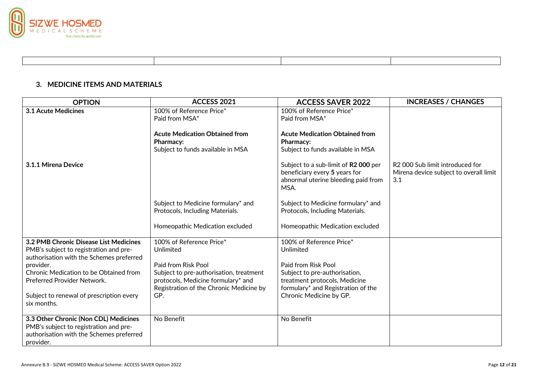

#### **3. MEDICINE ITEMS AND MATERIALS**

| <b>OPTION</b>                                                                                                                            | ACCESS 2021                                                                                                              | <b>ACCESS SAVER 2022</b>                                                                                             | <b>INCREASES / CHANGES</b>                                                       |
|------------------------------------------------------------------------------------------------------------------------------------------|--------------------------------------------------------------------------------------------------------------------------|----------------------------------------------------------------------------------------------------------------------|----------------------------------------------------------------------------------|
| 3.1 Acute Medicines                                                                                                                      | 100% of Reference Price*<br>Paid from MSA*                                                                               | 100% of Reference Price*<br>Paid from MSA*                                                                           |                                                                                  |
|                                                                                                                                          | <b>Acute Medication Obtained from</b><br>Pharmacy:<br>Subject to funds available in MSA                                  | <b>Acute Medication Obtained from</b><br>Pharmacy:<br>Subject to funds available in MSA                              |                                                                                  |
| 3.1.1 Mirena Device                                                                                                                      |                                                                                                                          | Subject to a sub-limit of R2 000 per<br>beneficiary every 5 years for<br>abnormal uterine bleeding paid from<br>MSA. | R2 000 Sub limit introduced for<br>Mirena device subject to overall limit<br>3.1 |
|                                                                                                                                          | Subject to Medicine formulary* and<br>Protocols, Including Materials.                                                    | Subject to Medicine formulary* and<br>Protocols, Including Materials.                                                |                                                                                  |
|                                                                                                                                          | Homeopathic Medication excluded                                                                                          | Homeopathic Medication excluded                                                                                      |                                                                                  |
| 3.2 PMB Chronic Disease List Medicines<br>PMB's subject to registration and pre-<br>authorisation with the Schemes preferred             | 100% of Reference Price*<br>Unlimited                                                                                    | 100% of Reference Price*<br>Unlimited                                                                                |                                                                                  |
| provider.                                                                                                                                | Paid from Risk Pool                                                                                                      | Paid from Risk Pool                                                                                                  |                                                                                  |
| Chronic Medication to be Obtained from<br>Preferred Provider Network.                                                                    | Subject to pre-authorisation, treatment<br>protocols, Medicine formulary* and<br>Registration of the Chronic Medicine by | Subject to pre-authorisation,<br>treatment protocols, Medicine<br>formulary* and Registration of the                 |                                                                                  |
| Subject to renewal of prescription every<br>six months.                                                                                  | GP.                                                                                                                      | Chronic Medicine by GP.                                                                                              |                                                                                  |
| 3.3 Other Chronic (Non CDL) Medicines<br>PMB's subject to registration and pre-<br>authorisation with the Schemes preferred<br>provider. | No Benefit                                                                                                               | No Benefit                                                                                                           |                                                                                  |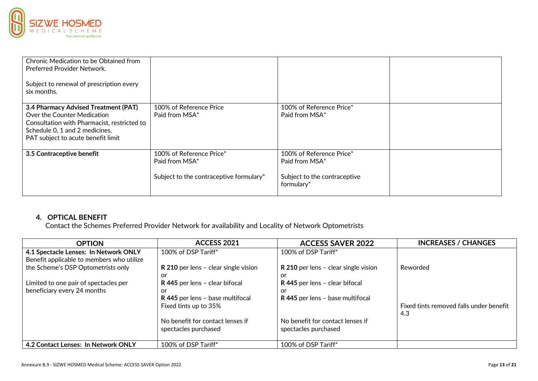

| Chronic Medication to be Obtained from<br>Preferred Provider Network.<br>Subject to renewal of prescription every<br>six months.                                                           |                                                                                       |                                                                                          |  |
|--------------------------------------------------------------------------------------------------------------------------------------------------------------------------------------------|---------------------------------------------------------------------------------------|------------------------------------------------------------------------------------------|--|
| 3.4 Pharmacy Advised Treatment (PAT)<br>Over the Counter Medication<br>Consultation with Pharmacist, restricted to<br>Schedule 0, 1 and 2 medicines.<br>PAT subject to acute benefit limit | 100% of Reference Price<br>Paid from MSA*                                             | 100% of Reference Price*<br>Paid from MSA*                                               |  |
| 3.5 Contraceptive benefit                                                                                                                                                                  | 100% of Reference Price*<br>Paid from MSA*<br>Subject to the contraceptive formulary* | 100% of Reference Price*<br>Paid from MSA*<br>Subject to the contraceptive<br>formulary* |  |

### **4. OPTICAL BENEFIT**

Contact the Schemes Preferred Provider Network for availability and Locality of Network Optometrists

| <b>OPTION</b>                                                                      | ACCESS 2021                                                                    | <b>ACCESS SAVER 2022</b>                                                       | <b>INCREASES / CHANGES</b>                     |
|------------------------------------------------------------------------------------|--------------------------------------------------------------------------------|--------------------------------------------------------------------------------|------------------------------------------------|
| 4.1 Spectacle Lenses: In Network ONLY<br>Benefit applicable to members who utilize | 100% of DSP Tariff*                                                            | 100% of DSP Tariff*                                                            |                                                |
| the Scheme's DSP Optometrists only                                                 | R 210 per lens - clear single vision                                           | R 210 per lens - clear single vision                                           | Reworded                                       |
| Limited to one pair of spectacles per<br>beneficiary every 24 months               | or<br>R 445 per lens - clear bifocal<br>or<br>R 445 per lens - base multifocal | or<br>R 445 per lens - clear bifocal<br>or<br>R 445 per lens - base multifocal |                                                |
|                                                                                    | Fixed tints up to 35%                                                          |                                                                                | Fixed tints removed falls under benefit<br>4.3 |
|                                                                                    | No benefit for contact lenses if<br>spectacles purchased                       | No benefit for contact lenses if<br>spectacles purchased                       |                                                |
| 4.2 Contact Lenses: In Network ONLY                                                | 100% of DSP Tariff*                                                            | 100% of DSP Tariff*                                                            |                                                |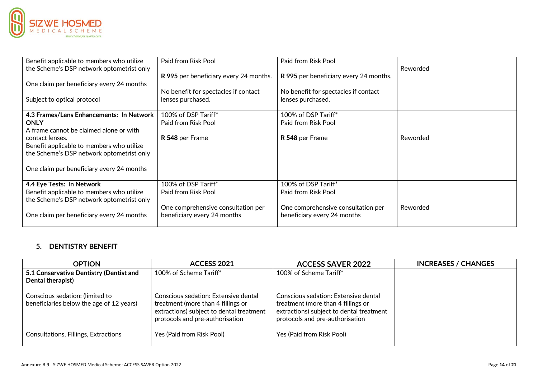

| Benefit applicable to members who utilize<br>the Scheme's DSP network optometrist only | Paid from Risk Pool<br>R 995 per beneficiary every 24 months.     | Paid from Risk Pool<br>R 995 per beneficiary every 24 months.     | Reworded |
|----------------------------------------------------------------------------------------|-------------------------------------------------------------------|-------------------------------------------------------------------|----------|
| One claim per beneficiary every 24 months                                              | No benefit for spectacles if contact                              | No benefit for spectacles if contact                              |          |
| Subject to optical protocol                                                            | lenses purchased.                                                 | lenses purchased.                                                 |          |
| 4.3 Frames/Lens Enhancements: In Network<br><b>ONLY</b>                                | 100% of DSP Tariff*<br>Paid from Risk Pool                        | 100% of DSP Tariff*<br>Paid from Risk Pool                        |          |
| A frame cannot be claimed alone or with                                                |                                                                   |                                                                   |          |
| contact lenses.                                                                        | R 548 per Frame                                                   | R 548 per Frame                                                   | Reworded |
| Benefit applicable to members who utilize<br>the Scheme's DSP network optometrist only |                                                                   |                                                                   |          |
| One claim per beneficiary every 24 months                                              |                                                                   |                                                                   |          |
| 4.4 Eye Tests: In Network                                                              | 100% of DSP Tariff*                                               | 100% of DSP Tariff*                                               |          |
| Benefit applicable to members who utilize<br>the Scheme's DSP network optometrist only | Paid from Risk Pool                                               | Paid from Risk Pool                                               |          |
| One claim per beneficiary every 24 months                                              | One comprehensive consultation per<br>beneficiary every 24 months | One comprehensive consultation per<br>beneficiary every 24 months | Reworded |

## **5. DENTISTRY BENEFIT**

| <b>OPTION</b>                                                               | <b>ACCESS 2021</b>                                                                                                                                        | <b>ACCESS SAVER 2022</b>                                                                                                                                  | <b>INCREASES / CHANGES</b> |
|-----------------------------------------------------------------------------|-----------------------------------------------------------------------------------------------------------------------------------------------------------|-----------------------------------------------------------------------------------------------------------------------------------------------------------|----------------------------|
| 5.1 Conservative Dentistry (Dentist and<br>Dental therapist)                | 100% of Scheme Tariff*                                                                                                                                    | 100% of Scheme Tariff*                                                                                                                                    |                            |
| Conscious sedation: (limited to<br>beneficiaries below the age of 12 years) | Conscious sedation: Extensive dental<br>treatment (more than 4 fillings or<br>extractions) subject to dental treatment<br>protocols and pre-authorisation | Conscious sedation: Extensive dental<br>treatment (more than 4 fillings or<br>extractions) subject to dental treatment<br>protocols and pre-authorisation |                            |
| Consultations, Fillings, Extractions                                        | Yes (Paid from Risk Pool)                                                                                                                                 | Yes (Paid from Risk Pool)                                                                                                                                 |                            |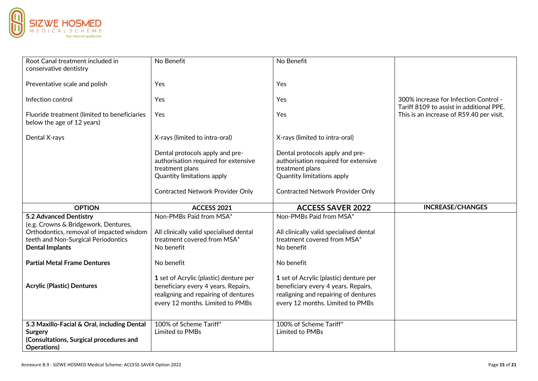

| Root Canal treatment included in             | No Benefit                              | No Benefit                              |                                          |
|----------------------------------------------|-----------------------------------------|-----------------------------------------|------------------------------------------|
| conservative dentistry                       |                                         |                                         |                                          |
|                                              |                                         |                                         |                                          |
| Preventative scale and polish                | Yes                                     | Yes                                     |                                          |
|                                              |                                         |                                         |                                          |
| Infection control                            | Yes                                     | Yes                                     | 300% increase for Infection Control -    |
|                                              |                                         |                                         | Tariff 8109 to assist in additional PPE. |
| Fluoride treatment (limited to beneficiaries | Yes                                     | Yes                                     | This is an increase of R59.40 per visit. |
| below the age of 12 years)                   |                                         |                                         |                                          |
|                                              |                                         |                                         |                                          |
| Dental X-rays                                | X-rays (limited to intra-oral)          | X-rays (limited to intra-oral)          |                                          |
|                                              |                                         |                                         |                                          |
|                                              | Dental protocols apply and pre-         | Dental protocols apply and pre-         |                                          |
|                                              | authorisation required for extensive    | authorisation required for extensive    |                                          |
|                                              | treatment plans                         | treatment plans                         |                                          |
|                                              | <b>Quantity limitations apply</b>       | <b>Quantity limitations apply</b>       |                                          |
|                                              |                                         |                                         |                                          |
|                                              | <b>Contracted Network Provider Only</b> | <b>Contracted Network Provider Only</b> |                                          |
|                                              |                                         |                                         |                                          |
|                                              |                                         |                                         |                                          |
| <b>OPTION</b>                                | ACCESS 2021                             | <b>ACCESS SAVER 2022</b>                | <b>INCREASE/CHANGES</b>                  |
| 5.2 Advanced Dentistry                       | Non-PMBs Paid from MSA*                 | Non-PMBs Paid from MSA*                 |                                          |
| (e.g. Crowns & Bridgework, Dentures,         |                                         |                                         |                                          |
| Orthodontics, removal of impacted wisdom     | All clinically valid specialised dental | All clinically valid specialised dental |                                          |
|                                              | treatment covered from MSA*             | treatment covered from MSA*             |                                          |
| teeth and Non-Surgical Periodontics          | No benefit                              | No benefit                              |                                          |
| <b>Dental Implants</b>                       |                                         |                                         |                                          |
| <b>Partial Metal Frame Dentures</b>          | No benefit                              | No benefit                              |                                          |
|                                              |                                         |                                         |                                          |
|                                              | 1 set of Acrylic (plastic) denture per  | 1 set of Acrylic (plastic) denture per  |                                          |
|                                              |                                         |                                         |                                          |
| <b>Acrylic (Plastic) Dentures</b>            | beneficiary every 4 years. Repairs,     | beneficiary every 4 years. Repairs,     |                                          |
|                                              | realigning and repairing of dentures    | realigning and repairing of dentures    |                                          |
|                                              | every 12 months. Limited to PMBs        | every 12 months. Limited to PMBs        |                                          |
|                                              |                                         |                                         |                                          |
| 5.3 Maxillo-Facial & Oral, including Dental  | 100% of Scheme Tariff*                  | 100% of Scheme Tariff*                  |                                          |
| <b>Surgery</b>                               | Limited to PMBs                         | Limited to PMBs                         |                                          |
| (Consultations, Surgical procedures and      |                                         |                                         |                                          |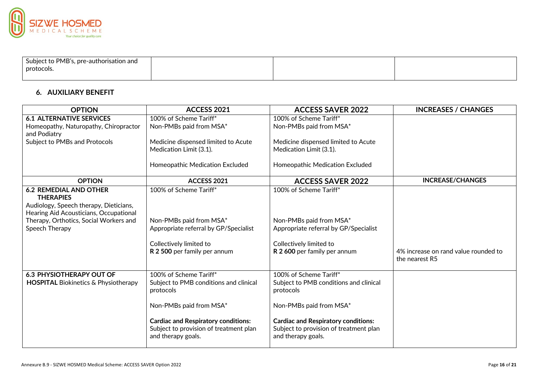

| Subject to PMB's, pre-authorisation and |  |  |
|-----------------------------------------|--|--|
| protocols.                              |  |  |
|                                         |  |  |

### **6. AUXILIARY BENEFIT**

| <b>OPTION</b>                                     | <b>ACCESS 2021</b>                                                                                         | <b>ACCESS SAVER 2022</b>                                                                                   | <b>INCREASES / CHANGES</b>           |
|---------------------------------------------------|------------------------------------------------------------------------------------------------------------|------------------------------------------------------------------------------------------------------------|--------------------------------------|
| <b>6.1 ALTERNATIVE SERVICES</b>                   | 100% of Scheme Tariff*                                                                                     | 100% of Scheme Tariff*                                                                                     |                                      |
| Homeopathy, Naturopathy, Chiropractor             | Non-PMBs paid from MSA*                                                                                    | Non-PMBs paid from MSA*                                                                                    |                                      |
| and Podiatry                                      |                                                                                                            |                                                                                                            |                                      |
| Subject to PMBs and Protocols                     | Medicine dispensed limited to Acute                                                                        | Medicine dispensed limited to Acute                                                                        |                                      |
|                                                   | Medication Limit (3.1).                                                                                    | Medication Limit (3.1).                                                                                    |                                      |
|                                                   | Homeopathic Medication Excluded                                                                            | Homeopathic Medication Excluded                                                                            |                                      |
| <b>OPTION</b>                                     | ACCESS 2021                                                                                                | <b>ACCESS SAVER 2022</b>                                                                                   | <b>INCREASE/CHANGES</b>              |
| <b>6.2 REMEDIAL AND OTHER</b><br><b>THERAPIES</b> | 100% of Scheme Tariff*                                                                                     | 100% of Scheme Tariff*                                                                                     |                                      |
| Audiology, Speech therapy, Dieticians,            |                                                                                                            |                                                                                                            |                                      |
| Hearing Aid Acousticians, Occupational            |                                                                                                            |                                                                                                            |                                      |
| Therapy, Orthotics, Social Workers and            | Non-PMBs paid from MSA*                                                                                    | Non-PMBs paid from MSA*                                                                                    |                                      |
| Speech Therapy                                    | Appropriate referral by GP/Specialist                                                                      | Appropriate referral by GP/Specialist                                                                      |                                      |
|                                                   |                                                                                                            |                                                                                                            |                                      |
|                                                   | Collectively limited to<br>R 2 500 per family per annum                                                    | Collectively limited to<br>R 2 600 per family per annum                                                    | 4% increase on rand value rounded to |
|                                                   |                                                                                                            |                                                                                                            | the nearest R5                       |
| <b>6.3 PHYSIOTHERAPY OUT OF</b>                   | 100% of Scheme Tariff*                                                                                     | 100% of Scheme Tariff*                                                                                     |                                      |
| <b>HOSPITAL Biokinetics &amp; Physiotherapy</b>   | Subject to PMB conditions and clinical                                                                     | Subject to PMB conditions and clinical                                                                     |                                      |
|                                                   | protocols                                                                                                  | protocols                                                                                                  |                                      |
|                                                   | Non-PMBs paid from MSA*                                                                                    | Non-PMBs paid from MSA*                                                                                    |                                      |
|                                                   | <b>Cardiac and Respiratory conditions:</b><br>Subject to provision of treatment plan<br>and therapy goals. | <b>Cardiac and Respiratory conditions:</b><br>Subject to provision of treatment plan<br>and therapy goals. |                                      |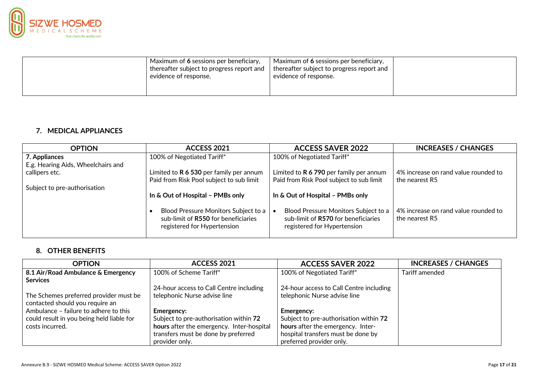

| Maximum of 6 sessions per beneficiary,<br>evidence of response. | $\vert$ Maximum of 6 sessions per beneficiary,<br>thereafter subject to progress report and   thereafter subject to progress report and<br>evidence of response. |  |
|-----------------------------------------------------------------|------------------------------------------------------------------------------------------------------------------------------------------------------------------|--|
|-----------------------------------------------------------------|------------------------------------------------------------------------------------------------------------------------------------------------------------------|--|

#### **7. MEDICAL APPLIANCES**

| <b>OPTION</b>                      | ACCESS 2021                                                                                                | <b>ACCESS SAVER 2022</b>                                                                                   | <b>INCREASES / CHANGES</b>                             |
|------------------------------------|------------------------------------------------------------------------------------------------------------|------------------------------------------------------------------------------------------------------------|--------------------------------------------------------|
| 7. Appliances                      | 100% of Negotiated Tariff*                                                                                 | 100% of Negotiated Tariff*                                                                                 |                                                        |
| E.g. Hearing Aids, Wheelchairs and |                                                                                                            |                                                                                                            |                                                        |
| callipers etc.                     | Limited to $R$ 6 530 per family per annum                                                                  | Limited to $R$ 6 790 per family per annum                                                                  | 4% increase on rand value rounded to                   |
|                                    | Paid from Risk Pool subject to sub limit                                                                   | Paid from Risk Pool subject to sub limit                                                                   | the nearest R5                                         |
| Subject to pre-authorisation       |                                                                                                            |                                                                                                            |                                                        |
|                                    | In & Out of Hospital - PMBs only                                                                           | In & Out of Hospital - PMBs only                                                                           |                                                        |
|                                    | Blood Pressure Monitors Subject to a<br>sub-limit of R550 for beneficiaries<br>registered for Hypertension | Blood Pressure Monitors Subject to a<br>sub-limit of R570 for beneficiaries<br>registered for Hypertension | 4% increase on rand value rounded to<br>the nearest R5 |

### **8. OTHER BENEFITS**

| <b>OPTION</b>                             | ACCESS 2021                               | <b>ACCESS SAVER 2022</b>                | <b>INCREASES / CHANGES</b> |
|-------------------------------------------|-------------------------------------------|-----------------------------------------|----------------------------|
| $\mid$ 8.1 Air/Road Ambulance & Emergency | 100% of Scheme Tariff*                    | 100% of Negotiated Tariff*              | Tariff amended             |
| <b>Services</b>                           |                                           |                                         |                            |
|                                           | 24-hour access to Call Centre including   | 24-hour access to Call Centre including |                            |
| The Schemes preferred provider must be    | telephonic Nurse advise line              | telephonic Nurse advise line            |                            |
| contacted should you require an           |                                           |                                         |                            |
| Ambulance - failure to adhere to this     | <b>Emergency:</b>                         | <b>Emergency:</b>                       |                            |
| could result in you being held liable for | Subject to pre-authorisation within 72    | Subject to pre-authorisation within 72  |                            |
| costs incurred.                           | hours after the emergency. Inter-hospital | hours after the emergency. Inter-       |                            |
|                                           | transfers must be done by preferred       | hospital transfers must be done by      |                            |
|                                           | provider only.                            | preferred provider only.                |                            |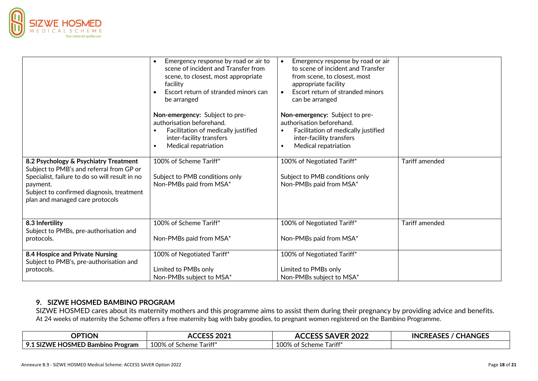

|                                                                                                                                                                                                                                 | Emergency response by road or air to<br>scene of incident and Transfer from<br>scene, to closest, most appropriate<br>facility<br>Escort return of stranded minors can<br>be arranged | Emergency response by road or air<br>$\bullet$<br>to scene of incident and Transfer<br>from scene, to closest, most<br>appropriate facility<br>Escort return of stranded minors<br>$\bullet$<br>can be arranged |                       |
|---------------------------------------------------------------------------------------------------------------------------------------------------------------------------------------------------------------------------------|---------------------------------------------------------------------------------------------------------------------------------------------------------------------------------------|-----------------------------------------------------------------------------------------------------------------------------------------------------------------------------------------------------------------|-----------------------|
|                                                                                                                                                                                                                                 | Non-emergency: Subject to pre-<br>authorisation beforehand.<br>Facilitation of medically justified<br>inter-facility transfers<br>Medical repatriation                                | Non-emergency: Subject to pre-<br>authorisation beforehand.<br>Facilitation of medically justified<br>$\bullet$<br>inter-facility transfers<br>Medical repatriation<br>$\bullet$                                |                       |
| 8.2 Psychology & Psychiatry Treatment<br>Subject to PMB's and referral from GP or<br>Specialist, failure to do so will result in no<br>payment.<br>Subject to confirmed diagnosis, treatment<br>plan and managed care protocols | 100% of Scheme Tariff*<br>Subject to PMB conditions only<br>Non-PMBs paid from MSA*                                                                                                   | 100% of Negotiated Tariff*<br>Subject to PMB conditions only<br>Non-PMBs paid from MSA*                                                                                                                         | <b>Tariff amended</b> |
| 8.3 Infertility<br>Subject to PMBs, pre-authorisation and<br>protocols.                                                                                                                                                         | 100% of Scheme Tariff*<br>Non-PMBs paid from MSA*                                                                                                                                     | 100% of Negotiated Tariff*<br>Non-PMBs paid from MSA*                                                                                                                                                           | Tariff amended        |
| 8.4 Hospice and Private Nursing<br>Subject to PMB's, pre-authorisation and<br>protocols.                                                                                                                                        | 100% of Negotiated Tariff*<br>Limited to PMBs only<br>Non-PMBs subject to MSA*                                                                                                        | 100% of Negotiated Tariff*<br>Limited to PMBs only<br>Non-PMBs subject to MSA*                                                                                                                                  |                       |

#### **9. SIZWE HOSMED BAMBINO PROGRAM**

SIZWE HOSMED cares about its maternity mothers and this programme aims to assist them during their pregnancy by providing advice and benefits. At 24 weeks of maternity the Scheme offers a free maternity bag with baby goodies, to pregnant women registered on the Bambino Programme.

| <b>OPTION</b>                                               | <b>CCESS 2021</b><br>ALL.                        | <b>SAVER 2022</b><br>ACCL                              | <b>CHANGES</b><br><b>INCREASES</b><br><b>INCRE</b> |
|-------------------------------------------------------------|--------------------------------------------------|--------------------------------------------------------|----------------------------------------------------|
| <b>HOSMED P</b><br>.1 SIZWE<br>O 1<br>⊦Bambino<br>⊦ Program | 100% of '<br>$\sim$ $\sim$<br>-l ariff<br>Scheme | $\cdot$ cry<br>100% of<br>ariff<br><sup>.</sup> Scheme |                                                    |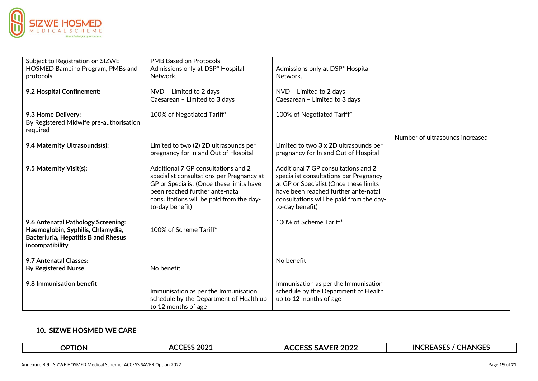

| Subject to Registration on SIZWE<br>HOSMED Bambino Program, PMBs and<br>protocols.<br>9.2 Hospital Confinement:                          | <b>PMB Based on Protocols</b><br>Admissions only at DSP* Hospital<br>Network.<br>NVD - Limited to 2 days                                                                                                                       | Admissions only at DSP* Hospital<br>Network.<br>NVD - Limited to 2 days                                                                                                                                                        |                                 |
|------------------------------------------------------------------------------------------------------------------------------------------|--------------------------------------------------------------------------------------------------------------------------------------------------------------------------------------------------------------------------------|--------------------------------------------------------------------------------------------------------------------------------------------------------------------------------------------------------------------------------|---------------------------------|
|                                                                                                                                          | Caesarean - Limited to 3 days                                                                                                                                                                                                  | Caesarean - Limited to 3 days                                                                                                                                                                                                  |                                 |
| 9.3 Home Delivery:<br>By Registered Midwife pre-authorisation<br>required                                                                | 100% of Negotiated Tariff*                                                                                                                                                                                                     | 100% of Negotiated Tariff*                                                                                                                                                                                                     |                                 |
| 9.4 Maternity Ultrasounds(s):                                                                                                            | Limited to two (2) 2D ultrasounds per<br>pregnancy for In and Out of Hospital                                                                                                                                                  | Limited to two 3 x 2D ultrasounds per<br>pregnancy for In and Out of Hospital                                                                                                                                                  | Number of ultrasounds increased |
| 9.5 Maternity Visit(s):                                                                                                                  | Additional 7 GP consultations and 2<br>specialist consultations per Pregnancy at<br>GP or Specialist (Once these limits have<br>been reached further ante-natal<br>consultations will be paid from the day-<br>to-day benefit) | Additional 7 GP consultations and 2<br>specialist consultations per Pregnancy<br>at GP or Specialist (Once these limits<br>have been reached further ante-natal<br>consultations will be paid from the day-<br>to-day benefit) |                                 |
| 9.6 Antenatal Pathology Screening:<br>Haemoglobin, Syphilis, Chlamydia,<br><b>Bacteriuria, Hepatitis B and Rhesus</b><br>incompatibility | 100% of Scheme Tariff*                                                                                                                                                                                                         | 100% of Scheme Tariff*                                                                                                                                                                                                         |                                 |
| 9.7 Antenatal Classes:<br><b>By Registered Nurse</b>                                                                                     | No benefit                                                                                                                                                                                                                     | No benefit                                                                                                                                                                                                                     |                                 |
| 9.8 Immunisation benefit                                                                                                                 | Immunisation as per the Immunisation<br>schedule by the Department of Health up<br>to 12 months of age                                                                                                                         | Immunisation as per the Immunisation<br>schedule by the Department of Health<br>up to 12 months of age                                                                                                                         |                                 |

#### **10. SIZWE HOSMED WE CARE**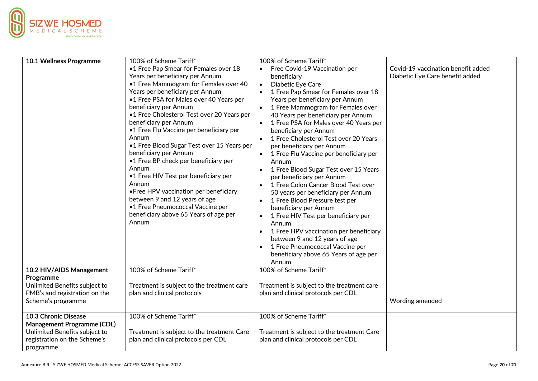

| 10.1 Wellness Programme                                       | 100% of Scheme Tariff*                                                            | 100% of Scheme Tariff*                                                            |                                    |
|---------------------------------------------------------------|-----------------------------------------------------------------------------------|-----------------------------------------------------------------------------------|------------------------------------|
|                                                               | •1 Free Pap Smear for Females over 18                                             | • Free Covid-19 Vaccination per                                                   | Covid-19 vaccination benefit added |
|                                                               | Years per beneficiary per Annum                                                   | beneficiary                                                                       | Diabetic Eye Care benefit added    |
|                                                               | •1 Free Mammogram for Females over 40                                             | Diabetic Eye Care<br>$\bullet$                                                    |                                    |
|                                                               | Years per beneficiary per Annum                                                   | 1 Free Pap Smear for Females over 18                                              |                                    |
|                                                               | •1 Free PSA for Males over 40 Years per                                           | Years per beneficiary per Annum                                                   |                                    |
|                                                               | beneficiary per Annum                                                             | 1 Free Mammogram for Females over                                                 |                                    |
|                                                               | •1 Free Cholesterol Test over 20 Years per                                        | 40 Years per beneficiary per Annum                                                |                                    |
|                                                               | beneficiary per Annum<br>•1 Free Flu Vaccine per beneficiary per                  | 1 Free PSA for Males over 40 Years per<br>beneficiary per Annum                   |                                    |
|                                                               | Annum                                                                             | 1 Free Cholesterol Test over 20 Years                                             |                                    |
|                                                               | •1 Free Blood Sugar Test over 15 Years per                                        | per beneficiary per Annum                                                         |                                    |
|                                                               | beneficiary per Annum                                                             | 1 Free Flu Vaccine per beneficiary per                                            |                                    |
|                                                               | •1 Free BP check per beneficiary per                                              | Annum                                                                             |                                    |
|                                                               | Annum                                                                             | 1 Free Blood Sugar Test over 15 Years                                             |                                    |
|                                                               | •1 Free HIV Test per beneficiary per                                              | per beneficiary per Annum                                                         |                                    |
|                                                               | Annum                                                                             | 1 Free Colon Cancer Blood Test over                                               |                                    |
|                                                               | • Free HPV vaccination per beneficiary                                            | 50 years per beneficiary per Annum                                                |                                    |
|                                                               | between 9 and 12 years of age<br>•1 Free Pneumococcal Vaccine per                 | 1 Free Blood Pressure test per<br>$\bullet$                                       |                                    |
|                                                               | beneficiary above 65 Years of age per                                             | beneficiary per Annum                                                             |                                    |
|                                                               | Annum                                                                             | 1 Free HIV Test per beneficiary per<br>$\bullet$<br>Annum                         |                                    |
|                                                               |                                                                                   | 1 Free HPV vaccination per beneficiary                                            |                                    |
|                                                               |                                                                                   | between 9 and 12 years of age                                                     |                                    |
|                                                               |                                                                                   | 1 Free Pneumococcal Vaccine per                                                   |                                    |
|                                                               |                                                                                   | beneficiary above 65 Years of age per                                             |                                    |
|                                                               |                                                                                   | Annum                                                                             |                                    |
| 10.2 HIV/AIDS Management                                      | 100% of Scheme Tariff*                                                            | 100% of Scheme Tariff*                                                            |                                    |
| Programme                                                     |                                                                                   |                                                                                   |                                    |
| Unlimited Benefits subject to                                 | Treatment is subject to the treatment care                                        | Treatment is subject to the treatment care                                        |                                    |
| PMB's and registration on the                                 | plan and clinical protocols                                                       | plan and clinical protocols per CDL                                               |                                    |
| Scheme's programme                                            |                                                                                   |                                                                                   | Wording amended                    |
|                                                               |                                                                                   |                                                                                   |                                    |
| 10.3 Chronic Disease                                          | 100% of Scheme Tariff*                                                            | 100% of Scheme Tariff*                                                            |                                    |
| <b>Management Programme (CDL)</b>                             |                                                                                   |                                                                                   |                                    |
| Unlimited Benefits subject to<br>registration on the Scheme's | Treatment is subject to the treatment Care<br>plan and clinical protocols per CDL | Treatment is subject to the treatment Care<br>plan and clinical protocols per CDL |                                    |
|                                                               |                                                                                   |                                                                                   |                                    |
| programme                                                     |                                                                                   |                                                                                   |                                    |